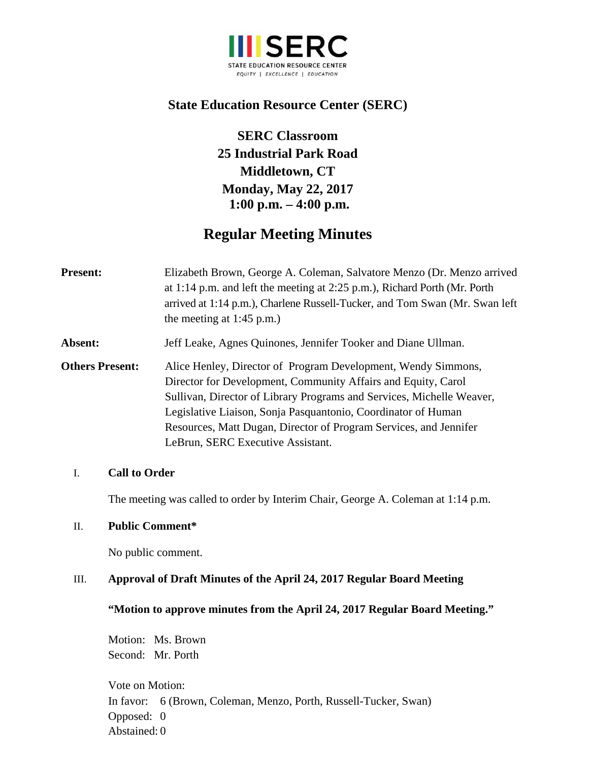

# **State Education Resource Center (SERC)**

**SERC Classroom 25 Industrial Park Road Middletown, CT Monday, May 22, 2017 1:00 p.m. – 4:00 p.m.**

# **Regular Meeting Minutes**

| <b>Present:</b>        | Elizabeth Brown, George A. Coleman, Salvatore Menzo (Dr. Menzo arrived<br>at 1:14 p.m. and left the meeting at 2:25 p.m.), Richard Porth (Mr. Porth<br>arrived at 1:14 p.m.), Charlene Russell-Tucker, and Tom Swan (Mr. Swan left<br>the meeting at $1:45$ p.m.)                                                                                                                  |
|------------------------|------------------------------------------------------------------------------------------------------------------------------------------------------------------------------------------------------------------------------------------------------------------------------------------------------------------------------------------------------------------------------------|
| Absent:                | Jeff Leake, Agnes Quinones, Jennifer Tooker and Diane Ullman.                                                                                                                                                                                                                                                                                                                      |
| <b>Others Present:</b> | Alice Henley, Director of Program Development, Wendy Simmons,<br>Director for Development, Community Affairs and Equity, Carol<br>Sullivan, Director of Library Programs and Services, Michelle Weaver,<br>Legislative Liaison, Sonja Pasquantonio, Coordinator of Human<br>Resources, Matt Dugan, Director of Program Services, and Jennifer<br>LeBrun, SERC Executive Assistant. |

### I. **Call to Order**

The meeting was called to order by Interim Chair, George A. Coleman at 1:14 p.m.

### II. **Public Comment\***

No public comment.

## III. **Approval of Draft Minutes of the April 24, 2017 Regular Board Meeting**

### **"Motion to approve minutes from the April 24, 2017 Regular Board Meeting."**

Motion: Ms. Brown Second: Mr. Porth

Vote on Motion: In favor: 6 (Brown, Coleman, Menzo, Porth, Russell-Tucker, Swan) Opposed: 0 Abstained: 0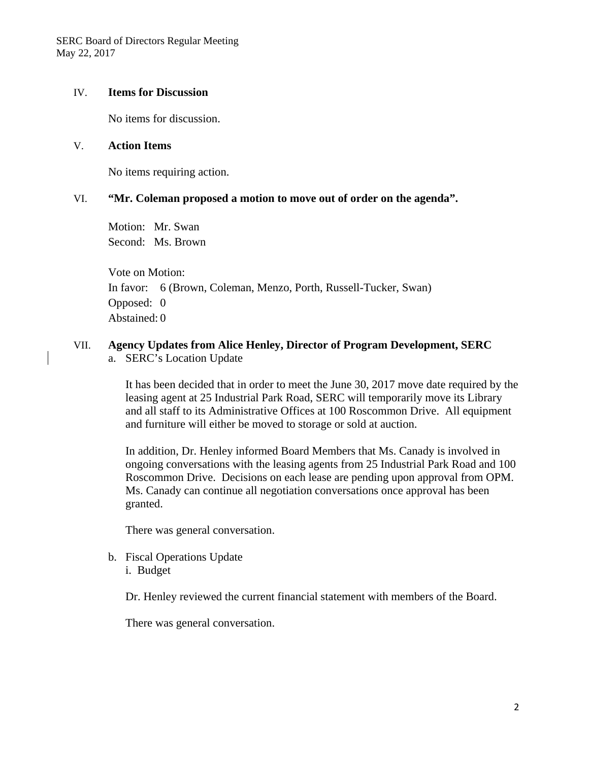SERC Board of Directors Regular Meeting May 22, 2017

#### IV. **Items for Discussion**

No items for discussion.

#### V. **Action Items**

No items requiring action.

#### VI. **"Mr. Coleman proposed a motion to move out of order on the agenda".**

Motion: Mr. Swan Second: Ms. Brown

Vote on Motion: In favor: 6 (Brown, Coleman, Menzo, Porth, Russell-Tucker, Swan) Opposed: 0 Abstained: 0

#### VII. **Agency Updates from Alice Henley, Director of Program Development, SERC**  a. SERC's Location Update

It has been decided that in order to meet the June 30, 2017 move date required by the leasing agent at 25 Industrial Park Road, SERC will temporarily move its Library and all staff to its Administrative Offices at 100 Roscommon Drive. All equipment and furniture will either be moved to storage or sold at auction.

In addition, Dr. Henley informed Board Members that Ms. Canady is involved in ongoing conversations with the leasing agents from 25 Industrial Park Road and 100 Roscommon Drive. Decisions on each lease are pending upon approval from OPM. Ms. Canady can continue all negotiation conversations once approval has been granted.

There was general conversation.

b. Fiscal Operations Update i. Budget

Dr. Henley reviewed the current financial statement with members of the Board.

There was general conversation.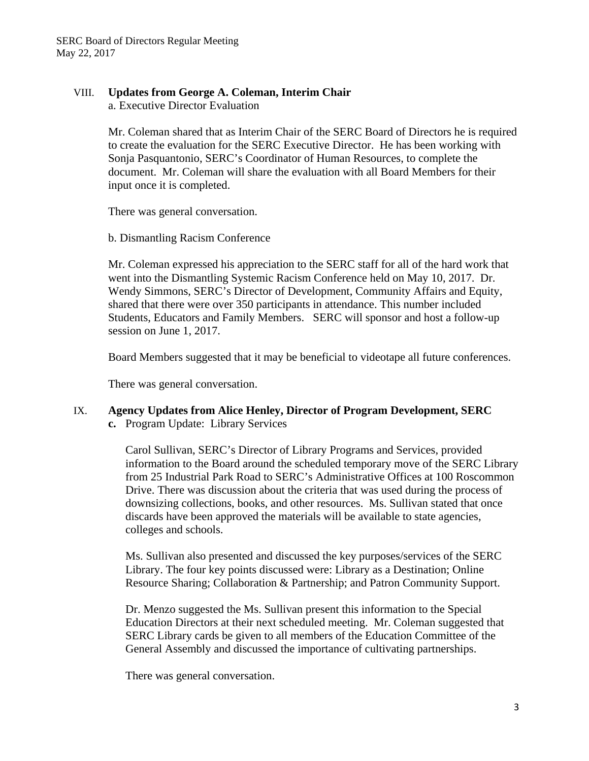## VIII. **Updates from George A. Coleman, Interim Chair**

a. Executive Director Evaluation

Mr. Coleman shared that as Interim Chair of the SERC Board of Directors he is required to create the evaluation for the SERC Executive Director. He has been working with Sonja Pasquantonio, SERC's Coordinator of Human Resources, to complete the document. Mr. Coleman will share the evaluation with all Board Members for their input once it is completed.

There was general conversation.

b. Dismantling Racism Conference

Mr. Coleman expressed his appreciation to the SERC staff for all of the hard work that went into the Dismantling Systemic Racism Conference held on May 10, 2017. Dr. Wendy Simmons, SERC's Director of Development, Community Affairs and Equity, shared that there were over 350 participants in attendance. This number included Students, Educators and Family Members. SERC will sponsor and host a follow-up session on June 1, 2017.

Board Members suggested that it may be beneficial to videotape all future conferences.

There was general conversation.

# IX. **Agency Updates from Alice Henley, Director of Program Development, SERC**

**c.** Program Update: Library Services

Carol Sullivan, SERC's Director of Library Programs and Services, provided information to the Board around the scheduled temporary move of the SERC Library from 25 Industrial Park Road to SERC's Administrative Offices at 100 Roscommon Drive. There was discussion about the criteria that was used during the process of downsizing collections, books, and other resources. Ms. Sullivan stated that once discards have been approved the materials will be available to state agencies, colleges and schools.

Ms. Sullivan also presented and discussed the key purposes/services of the SERC Library. The four key points discussed were: Library as a Destination; Online Resource Sharing; Collaboration & Partnership; and Patron Community Support.

Dr. Menzo suggested the Ms. Sullivan present this information to the Special Education Directors at their next scheduled meeting. Mr. Coleman suggested that SERC Library cards be given to all members of the Education Committee of the General Assembly and discussed the importance of cultivating partnerships.

There was general conversation.